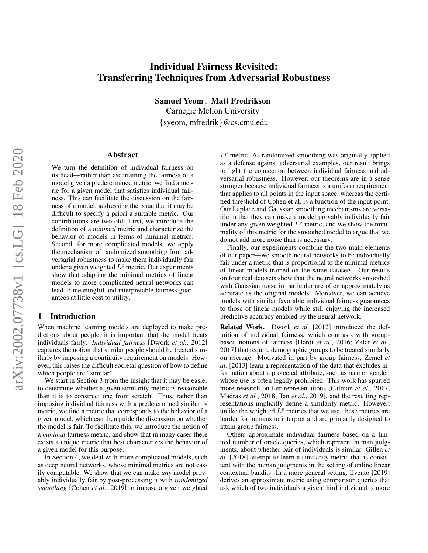# Individual Fairness Revisited: Transferring Techniques from Adversarial Robustness

Samuel Yeom , Matt Fredrikson

Carnegie Mellon University {syeom, mfredrik}@cs.cmu.edu

#### Abstract

We turn the definition of individual fairness on its head—rather than ascertaining the fairness of a model given a predetermined metric, we find a metric for a given model that satisfies individual fairness. This can facilitate the discussion on the fairness of a model, addressing the issue that it may be difficult to specify a priori a suitable metric. Our contributions are twofold: First, we introduce the definition of a *minimal* metric and characterize the behavior of models in terms of minimal metrics. Second, for more complicated models, we apply the mechanism of randomized smoothing from adversarial robustness to make them individually fair under a given weighted  $L^p$  metric. Our experiments show that adapting the minimal metrics of linear models to more complicated neural networks can lead to meaningful and interpretable fairness guarantees at little cost to utility.

#### 1 Introduction

When machine learning models are deployed to make predictions about people, it is important that the model treats individuals fairly. *Individual fairness* [\[Dwork](#page-7-0) *et al.*, 2012] captures the notion that similar people should be treated similarly by imposing a continuity requirement on models. However, this raises the difficult societal question of how to define which people are "similar".

We start in Section [3](#page-1-0) from the insight that it may be easier to determine whether a given similarity metric is reasonable than it is to construct one from scratch. Thus, rather than imposing individual fairness with a predetermined similarity metric, we find a metric that corresponds to the behavior of a given model, which can then guide the discussion on whether the model is fair. To facilitate this, we introduce the notion of a *minimal* fairness metric, and show that in many cases there exists a unique metric that best characterizes the behavior of a given model for this purpose.

In Section [4,](#page-2-0) we deal with more complicated models, such as deep neural networks, whose minimal metrics are not easily computable. We show that we can make *any* model provably individually fair by post-processing it with *randomized smoothing* [\[Cohen](#page-7-1) *et al.*, 2019] to impose a given weighted

 $L^p$  metric. As randomized smoothing was originally applied as a defense against adversarial examples, our result brings to light the connection between individual fairness and adversarial robustness. However, our theorems are in a sense stronger because individual fairness is a uniform requirement that applies to all points in the input space, whereas the certified threshold of Cohen et al. is a function of the input point. Our Laplace and Gaussian smoothing mechanisms are versatile in that they can make a model provably individually fair under any given weighted  $L^p$  metric, and we show the minimality of this metric for the smoothed model to argue that we do not add more noise than is necessary.

Finally, our experiments combine the two main elements of our paper—we smooth neural networks to be individually fair under a metric that is proportional to the minimal metrics of linear models trained on the same datasets. Our results on four real datasets show that the neural networks smoothed with Gaussian noise in particular are often approximately as accurate as the original models. Moreover, we can achieve models with similar favorable individual fairness guarantees to those of linear models while still enjoying the increased predictive accuracy enabled by the neural network.

Related Work. [Dwork](#page-7-0) *et al.* [\[2012\]](#page-7-0) introduced the definition of individual fairness, which contrasts with groupbased notions of fairness [Hardt *et al.*[, 2016;](#page-7-2) [Zafar](#page-7-3) *et al.*, [2017\]](#page-7-3) that require demographic groups to be treated similarly on average. Motivated in part by group fairness, [Zemel](#page-7-4) *et [al.](#page-7-4)* [\[2013\]](#page-7-4) learn a representation of the data that excludes information about a protected attribute, such as race or gender, whose use is often legally prohibited. This work has spurred more research on fair representations [\[Calmon](#page-6-0) *et al.*, 2017; [Madras](#page-7-5) *et al.*, 2018; Tan *et al.*[, 2019\]](#page-7-6), and the resulting representations implicitly define a similarity metric. However, unlike the weighted  $\dot{L}^p$  metrics that we use, these metrics are harder for humans to interpret and are primarily designed to attain group fairness.

Others approximate individual fairness based on a limited number of oracle queries, which represent human judgments, about whether pair of individuals is similar. [Gillen](#page-7-7) *et [al.](#page-7-7)* [\[2018\]](#page-7-7) attempt to learn a similarity metric that is consistent with the human judgments in the setting of online linear contextual bandits. In a more general setting, [Ilvento](#page-7-8) [\[2019\]](#page-7-8) derives an approximate metric using comparison queries that ask which of two individuals a given third individual is more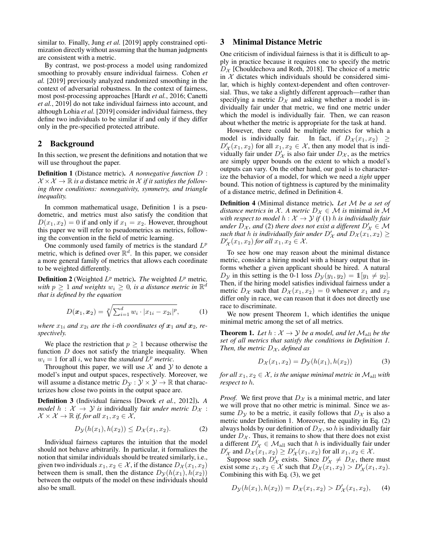similar to. Finally, Jung *[et al.](#page-7-9)* [\[2019\]](#page-7-9) apply constrained optimization directly without assuming that the human judgments are consistent with a metric.

By contrast, we post-process a model using randomized smoothing to provably ensure individual fairness. [Cohen](#page-7-1) *et [al.](#page-7-1)* [\[2019\]](#page-7-1) previously analyzed randomized smoothing in the context of adversarial robustness. In the context of fairness, most post-processing approaches [Hardt *et al.*[, 2016;](#page-7-2) [Canetti](#page-6-1) *et al.*[, 2019\]](#page-6-1) do not take individual fairness into account, and although [Lohia](#page-7-10) *et al.* [\[2019\]](#page-7-10) consider individual fairness, they define two individuals to be similar if and only if they differ only in the pre-specified protected attribute.

## 2 Background

In this section, we present the definitions and notation that we will use throughout the paper.

<span id="page-1-1"></span>Definition 1 (Distance metric). *A nonnegative function* D :  $\mathcal{X} \times \mathcal{X} \to \mathbb{R}$  *is a* distance metric *in*  $\mathcal{X}$  *if it satisfies the following three conditions: nonnegativity, symmetry, and triangle inequality.*

In common mathematical usage, Definition [1](#page-1-1) is a pseudometric, and metrics must also satisfy the condition that  $D(x_1, x_2) = 0$  if and only if  $x_1 = x_2$ . However, throughout this paper we will refer to pseudometrics as metrics, following the convention in the field of metric learning.

One commonly used family of metrics is the standard  $L^p$ metric, which is defined over  $\mathbb{R}^d$ . In this paper, we consider a more general family of metrics that allows each coordinate to be weighted differently.

**Definition 2** (Weighted  $L^p$  metric). *The* weighted  $L^p$  metric, with  $p \geq 1$  and weights  $w_i \geq 0$ , is a distance metric in  $\mathbb{R}^d$ *that is defined by the equation*

<span id="page-1-7"></span>
$$
D(\boldsymbol{x}_1, \boldsymbol{x}_2) = \sqrt[p]{\sum_{i=1}^d w_i \cdot |x_{1i} - x_{2i}|^p},
$$
 (1)

*where*  $x_{1i}$  *and*  $x_{2i}$  *are the i-th coordinates of*  $x_1$  *and*  $x_2$ *, respectively.*

We place the restriction that  $p \geq 1$  because otherwise the function  $D$  does not satisfy the triangle inequality. When  $w_i = 1$  for all i, we have the *standard*  $L^p$  *metric*.

Throughout this paper, we will use  $X$  and  $Y$  to denote a model's input and output spaces, respectively. Moreover, we will assume a distance metric  $D_{\mathcal{Y}} : \mathcal{Y} \times \mathcal{Y} \to \mathbb{R}$  that characterizes how close two points in the output space are.

Definition 3 (Individual fairness [\[Dwork](#page-7-0) *et al.*, 2012]). *A model*  $h : \mathcal{X} \to \mathcal{Y}$  *is* individually fair *under metric*  $D_{\mathcal{X}}$ :  $\mathcal{X} \times \mathcal{X} \to \mathbb{R}$  *if, for all*  $x_1, x_2 \in \mathcal{X}$ *,* 

<span id="page-1-4"></span>
$$
D_{\mathcal{Y}}(h(x_1), h(x_2)) \le D_{\mathcal{X}}(x_1, x_2). \tag{2}
$$

Individual fairness captures the intuition that the model should not behave arbitrarily. In particular, it formalizes the notion that similar individuals should be treated similarly, i.e., given two individuals  $x_1, x_2 \in \mathcal{X}$ , if the distance  $D_{\mathcal{X}}(x_1, x_2)$ between them is small, then the distance  $D_{\mathcal{Y}}(h(x_1), h(x_2))$ between the outputs of the model on these individuals should also be small.

## <span id="page-1-0"></span>3 Minimal Distance Metric

One criticism of individual fairness is that it is difficult to apply in practice because it requires one to specify the metric  $D_{\mathcal{X}}$  [\[Chouldechova and Roth, 2018\]](#page-6-2). The choice of a metric in  $X$  dictates which individuals should be considered similar, which is highly context-dependent and often controversial. Thus, we take a slightly different approach—rather than specifying a metric  $D_{\mathcal{X}}$  and asking whether a model is individually fair under that metric, we find one metric under which the model is individually fair. Then, we can reason about whether the metric is appropriate for the task at hand.

However, there could be multiple metrics for which a model is individually fair. In fact, if  $D_{\mathcal{X}}(x_1, x_2) \geq$  $D'_{\mathcal{X}}(x_1, x_2)$  for all  $x_1, x_2 \in \mathcal{X}$ , then any model that is individually fair under  $D'_{\mathcal{X}}$  is also fair under  $D_{\mathcal{X}}$ , as the metrics are simply upper bounds on the extent to which a model's outputs can vary. On the other hand, our goal is to characterize the behavior of a model, for which we need a *tight* upper bound. This notion of tightness is captured by the minimality of a distance metric, defined in Definition [4.](#page-1-2)

<span id="page-1-2"></span>Definition 4 (Minimal distance metric). *Let* M *be a set of distance metrics in*  $X$ *. A metric*  $D_X \in \mathcal{M}$  *is minimal in*  $\mathcal{M}$ *with respect to model*  $h : \mathcal{X} \to \mathcal{Y}$  *if* (1) *h is individually fair under*  $D_{\mathcal{X}}$ , and (2) *there does not exist a different*  $D'_{\mathcal{X}} \in \mathcal{M}$ *such that h is individually fair under*  $D'_\chi$  *and*  $D_\mathcal{X}(x_1, x_2) \geq D'_\chi(x_1, x_2)$  $D'_{\mathcal{X}}(x_1, x_2)$  *for all*  $x_1, x_2 \in \mathcal{X}$ *.* 

To see how one may reason about the minimal distance metric, consider a hiring model with a binary output that informs whether a given applicant should be hired. A natural  $D_{\mathcal{Y}}$  in this setting is the 0-1 loss  $D_{\mathcal{Y}}(y_1, y_2) = \mathbb{1}[y_1 \neq y_2]$ . Then, if the hiring model satisfies individual fairness under a metric  $D_{\mathcal{X}}$  such that  $D_{\mathcal{X}}(x_1, x_2) = 0$  whenever  $x_1$  and  $x_2$ differ only in race, we can reason that it does not directly use race to discriminate.

We now present Theorem [1,](#page-1-3) which identifies the unique minimal metric among the set of all metrics.

<span id="page-1-3"></span>**Theorem 1.** Let  $h : \mathcal{X} \to \mathcal{Y}$  be a model, and let  $\mathcal{M}_{all}$  be the *set of all metrics that satisfy the conditions in Definition [1.](#page-1-1) Then, the metric*  $D_x$ *, defined as* 

<span id="page-1-5"></span>
$$
D_{\mathcal{X}}(x_1, x_2) = D_{\mathcal{Y}}(h(x_1), h(x_2))
$$
 (3)

*for all*  $x_1, x_2 \in \mathcal{X}$ , *is the unique minimal metric in*  $\mathcal{M}_{all}$  *with respect to* h*.*

*Proof.* We first prove that  $D<sub>X</sub>$  is a minimal metric, and later we will prove that no other metric is minimal. Since we assume  $D_y$  to be a metric, it easily follows that  $D_x$  is also a metric under Definition [1.](#page-1-1) Moreover, the equality in Eq. [\(2\)](#page-1-4) always holds by our definition of  $D_{\mathcal{X}}$ , so h is individually fair under  $D_{\mathcal{X}}$ . Thus, it remains to show that there does not exist a different  $D'_\mathcal{X} \in \mathcal{M}_{all}$  such that h is individually fair under  $D'_{\mathcal{X}}$  and  $D_{\mathcal{X}}(x_1, x_2) \geq D'_{\mathcal{X}}(x_1, x_2)$  for all  $x_1, x_2 \in \mathcal{X}$ .

Suppose such  $D'_\mathcal{X}$  exists. Since  $D'_\mathcal{X} \neq D_\mathcal{X}$ , there must exist some  $x_1, x_2 \in \mathcal{X}$  such that  $D_{\mathcal{X}}(x_1, x_2) > D'_{\mathcal{X}}(x_1, x_2)$ . Combining this with Eq. [\(3\)](#page-1-5), we get

<span id="page-1-6"></span>
$$
D_{\mathcal{Y}}(h(x_1), h(x_2)) = D_{\mathcal{X}}(x_1, x_2) > D'_{\mathcal{X}}(x_1, x_2), \quad (4)
$$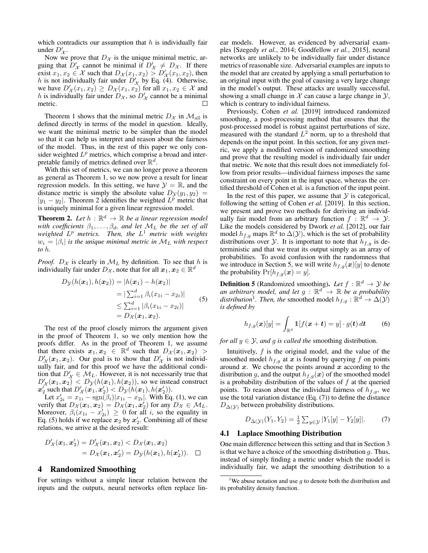which contradicts our assumption that  $h$  is individually fair under  $D'_{\mathcal{X}}$ .

Now we prove that  $D_{\mathcal{X}}$  is the unique minimal metric, arguing that  $D'_\chi$  cannot be minimal if  $D'_\chi \neq D_\chi$ . If there exist  $x_1, x_2 \in \mathcal{X}$  such that  $D_{\mathcal{X}}(x_1, x_2) > D'_{\mathcal{X}}(x_1, x_2)$ , then *h* is not individually fair under  $D'_{\mathcal{X}}$  by Eq. [\(4\)](#page-1-6). Otherwise, we have  $D'_\mathcal{X}(x_1, x_2) \geq D_\mathcal{X}(x_1, x_2)$  for all  $x_1, x_2 \in \mathcal{X}$  and h is individually fair under  $D_{\mathcal{X}}$ , so  $D'_{\mathcal{X}}$  cannot be a minimal metric.

Theorem [1](#page-1-3) shows that the minimal metric  $D_{\mathcal{X}}$  in  $\mathcal{M}_{\text{all}}$  is defined directly in terms of the model in question. Ideally, we want the minimal metric to be simpler than the model so that it can help us interpret and reason about the fairness of the model. Thus, in the rest of this paper we only consider weighted  $L^p$  metrics, which comprise a broad and interpretable family of metrics defined over  $\mathbb{R}^d$ .

With this set of metrics, we can no longer prove a theorem as general as Theorem [1,](#page-1-3) so we now prove a result for linear regression models. In this setting, we have  $\mathcal{Y} = \mathbb{R}$ , and the distance metric is simply the absolute value  $D_{\mathcal{V}}(y_1, y_2)$  =  $|y_1 - y_2|$ . Theorem [2](#page-2-1) identifies the weighted  $L^p$  metric that is uniquely minimal for a given linear regression model.

<span id="page-2-1"></span>**Theorem 2.** Let  $h : \mathbb{R}^d \to \mathbb{R}$  be a linear regression model *with coefficients*  $\beta_1, \ldots, \beta_d$ *, and let*  $M_L$  *be the set of all weighted* L <sup>p</sup> *metrics. Then, the* L <sup>1</sup> *metric with weights*  $w_i = |\beta_i|$  is the unique minimal metric in  $\mathcal{M}_L$  with respect *to* h*.*

*Proof.*  $D_{\mathcal{X}}$  is clearly in  $\mathcal{M}_{L}$  by definition. To see that h is individually fair under  $D_{\mathcal{X}}$ , note that for all  $\boldsymbol{x}_1, \boldsymbol{x}_2 \in \mathbb{R}^d$ 

$$
D_{\mathcal{Y}}(h(\boldsymbol{x}_1), h(\boldsymbol{x}_2)) = |h(\boldsymbol{x}_1) - h(\boldsymbol{x}_2)|
$$
  
\n
$$
= |\sum_{i=1}^d \beta_i (x_{1i} - x_{2i})|
$$
  
\n
$$
\leq \sum_{i=1}^d |\beta_i (x_{1i} - x_{2i})|
$$
  
\n
$$
= D_{\mathcal{X}}(\boldsymbol{x}_1, \boldsymbol{x}_2).
$$
 (5)

The rest of the proof closely mirrors the argument given in the proof of Theorem [1,](#page-1-3) so we only mention how the proofs differ. As in the proof of Theorem [1,](#page-1-3) we assume that there exists  $x_1, x_2 \in \mathbb{R}^d$  such that  $D_{\mathcal{X}}(x_1, x_2) >$  $D'_{\mathcal{X}}(x_1, x_2)$ . Our goal is to show that  $D'_{\mathcal{X}}$  is not individually fair, and for this proof we have the additional condition that  $D'_\mathcal{X} \in \mathcal{M}_L$ . However, it is not necessarily true that  $D'_{\mathcal{X}}(x_1, x_2) < D_{\mathcal{Y}}(h(x_1), h(x_2))$ , so we instead construct  $x_2'$  such that  $D'_\mathcal{X}(x_1, x_2') < D_\mathcal{Y}(h(x_1), h(x_2')).$ 

Let  $x'_{2i} = x_{1i} - \text{sgn}(\beta_i)|x_{1i} - x_{2i}|$ . With Eq. [\(1\)](#page-1-7), we can verify that  $D_{\mathcal{X}}(\boldsymbol{x}_1, \boldsymbol{x}_2) = D_{\mathcal{X}}(\boldsymbol{x}_1, \boldsymbol{x}_2')$  for any  $D_{\mathcal{X}} \in \mathcal{M}_L$ . Moreover,  $\beta_i(x_{1i} - x'_{2i}) \geq 0$  for all *i*, so the equality in Eq. [\(5\)](#page-2-2) holds if we replace  $x_2$  by  $x_2'$ . Combining all of these relations, we arrive at the desired result:

$$
D'_{\mathcal{X}}(\boldsymbol{x}_1, \boldsymbol{x}'_2) = D'_{\mathcal{X}}(\boldsymbol{x}_1, \boldsymbol{x}_2) < D_{\mathcal{X}}(\boldsymbol{x}_1, \boldsymbol{x}_2) \\ = D_{\mathcal{X}}(\boldsymbol{x}_1, \boldsymbol{x}'_2) = D_{\mathcal{Y}}(h(\boldsymbol{x}_1), h(\boldsymbol{x}'_2)). \quad \Box
$$

#### <span id="page-2-0"></span>4 Randomized Smoothing

For settings without a simple linear relation between the inputs and the outputs, neural networks often replace linear models. However, as evidenced by adversarial examples [\[Szegedy](#page-7-11) *et al.*, 2014; [Goodfellow](#page-7-12) *et al.*, 2015], neural networks are unlikely to be individually fair under distance metrics of reasonable size. Adversarial examples are inputs to the model that are created by applying a small perturbation to an original input with the goal of causing a very large change in the model's output. These attacks are usually successful, showing a small change in  $X$  can cause a large change in  $Y$ , which is contrary to individual fairness.

Previously, [Cohen](#page-7-1) *et al.* [\[2019\]](#page-7-1) introduced randomized smoothing, a post-processing method that ensures that the post-processed model is robust against perturbations of size, measured with the standard  $L^2$  norm, up to a threshold that depends on the input point. In this section, for any given metric, we apply a modified version of randomized smoothing and prove that the resulting model is individually fair under that metric. We note that this result does not immediately follow from prior results—individual fairness imposes the same constraint on every point in the input space, whereas the certified threshold of Cohen et al. is a function of the input point.

In the rest of this paper, we assume that  $Y$  is categorical, following the setting of [Cohen](#page-7-1) *et al.* [\[2019\]](#page-7-1). In this section, we present and prove two methods for deriving an individually fair model from an arbitrary function  $f : \mathbb{R}^d \to \mathcal{Y}$ . Like the models considered by [Dwork](#page-7-0) *et al.* [\[2012\]](#page-7-0), our fair model  $h_{f,g}$  maps  $\mathbb{R}^d$  to  $\Delta(\mathcal{Y})$ , which is the set of probability distributions over  $\mathcal Y$ . It is important to note that  $h_{f,g}$  is deterministic and that we treat its output simply as an array of probabilities. To avoid confusion with the randomness that we introduce in Section [5,](#page-4-0) we will write  $h_{f,g}(x)[y]$  to denote the probability  $Pr[h_{f,q}(x) = y]$ .

<span id="page-2-2"></span>**Definition 5** (Randomized smoothing). Let  $f : \mathbb{R}^d \to \mathcal{Y}$  be an arbitrary model, and let  $g : \mathbb{R}^d \to \mathbb{R}$  be a probability *distribution*<sup>[1](#page-2-3)</sup>. Then, the smoothed model  $h_{f,g}: \mathbb{R}^d \to \Delta(\mathcal{Y})$ *is defined by*

<span id="page-2-5"></span>
$$
h_{f,g}(\boldsymbol{x})[y] = \int_{\mathbb{R}^d} \mathbb{1}[f(\boldsymbol{x} + \boldsymbol{t}) = y] \cdot g(\boldsymbol{t}) \, d\boldsymbol{t} \qquad (6)
$$

*for all*  $y \in Y$ *, and g is called the smoothing distribution.* 

Intuitively,  $f$  is the original model, and the value of the smoothed model  $h_{f,g}$  at x is found by querying f on points around  $x$ . We choose the points around  $x$  according to the distribution g, and the output  $h_{f,q}(x)$  of the smoothed model is a probability distribution of the values of  $f$  at the queried points. To reason about the individual fairness of  $h_{f,q}$ , we use the total variation distance (Eq. [\(7\)](#page-2-4)) to define the distance  $D_{\Delta(\mathcal{Y})}$  between probability distributions.

<span id="page-2-4"></span>
$$
D_{\Delta(\mathcal{Y})}(Y_1, Y_2) = \frac{1}{2} \sum_{y \in \mathcal{Y}} |Y_1[y] - Y_2[y]|.
$$
 (7)

## 4.1 Laplace Smoothing Distribution

One main difference between this setting and that in Section [3](#page-1-0) is that we have a choice of the smoothing distribution  $q$ . Thus, instead of simply finding a metric under which the model is individually fair, we adapt the smoothing distribution to a

<span id="page-2-3"></span><sup>&</sup>lt;sup>1</sup>We abuse notation and use  $q$  to denote both the distribution and its probability density function.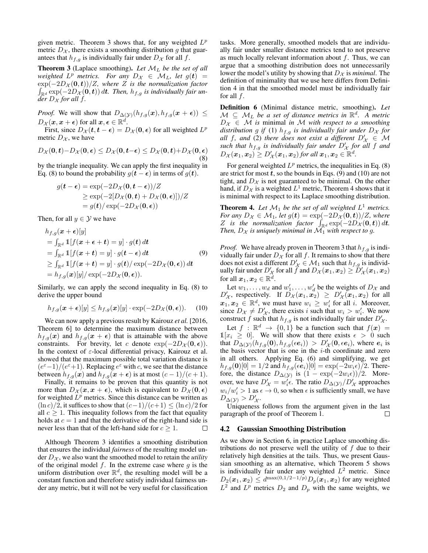given metric. Theorem [3](#page-3-0) shows that, for any weighted  $L^p$ metric  $D_{\mathcal{X}}$ , there exists a smoothing distribution g that guarantees that  $h_{f,q}$  is individually fair under  $D_{\mathcal{X}}$  for all f.

<span id="page-3-0"></span>Theorem 3 (Laplace smoothing). *Let* M<sup>L</sup> *be the set of all weighted*  $L^p$  *metrics. For any*  $D_\mathcal{X} \in \mathcal{M}_L$ , let  $g(t) =$  $\exp(-2D_{\mathcal{X}}(0,t))/Z$ *, where* Z is the normalization factor  $\int_{\mathbb{R}^d} \exp(-2D_{\mathcal{X}}(0,t)) dt$ . Then,  $h_{f,g}$  is individually fair un*der*  $D_x$  *for all f.* 

*Proof.* We will show that  $D_{\Delta(\mathcal{Y})}(h_{f,g}(\boldsymbol{x}), h_{f,g}(\boldsymbol{x} + \boldsymbol{\epsilon})) \leq$  $D_{\mathcal{X}}(\boldsymbol{x}, \boldsymbol{x} + \boldsymbol{\epsilon})$  for all  $\boldsymbol{x}, \boldsymbol{\epsilon} \in \mathbb{R}^d$ .

<span id="page-3-1"></span>First, since  $D_{\mathcal{X}}(t, t - \epsilon) = D_{\mathcal{X}}(0, \epsilon)$  for all weighted  $L^p$ metric  $D_{\mathcal{X}}$ , we have

$$
D_{\mathcal{X}}(\mathbf{0}, \mathbf{t}) - D_{\mathcal{X}}(\mathbf{0}, \boldsymbol{\epsilon}) \leq D_{\mathcal{X}}(\mathbf{0}, \mathbf{t} - \boldsymbol{\epsilon}) \leq D_{\mathcal{X}}(\mathbf{0}, \mathbf{t}) + D_{\mathcal{X}}(\mathbf{0}, \boldsymbol{\epsilon})
$$
(8)

by the triangle inequality. We can apply the first inequality in Eq. [\(8\)](#page-3-1) to bound the probability  $g(t - \epsilon)$  in terms of  $g(t)$ .

<span id="page-3-2"></span>
$$
g(\mathbf{t} - \boldsymbol{\epsilon}) = \exp(-2D_{\mathcal{X}}(\mathbf{0}, \mathbf{t} - \boldsymbol{\epsilon}))/Z
$$
  
\n
$$
\geq \exp(-2[D_{\mathcal{X}}(\mathbf{0}, \mathbf{t}) + D_{\mathcal{X}}(\mathbf{0}, \boldsymbol{\epsilon})])/Z
$$
  
\n
$$
= g(\mathbf{t}) / \exp(-2D_{\mathcal{X}}(\mathbf{0}, \boldsymbol{\epsilon}))
$$

Then, for all  $y \in Y$  we have

$$
h_{f,g}(\mathbf{x} + \boldsymbol{\epsilon})[y]
$$
  
=  $\int_{\mathbb{R}^d} 1[f(\mathbf{x} + \boldsymbol{\epsilon} + \boldsymbol{t}) = y] \cdot g(\boldsymbol{t}) d\boldsymbol{t}$   
=  $\int_{\mathbb{R}^d} 1[f(\mathbf{x} + \boldsymbol{t}) = y] \cdot g(\boldsymbol{t} - \boldsymbol{\epsilon}) d\boldsymbol{t}$   
 $\ge \int_{\mathbb{R}^d} 1[f(\mathbf{x} + \boldsymbol{t}) = y] \cdot g(\boldsymbol{t}) / \exp(-2D_{\mathcal{X}}(\mathbf{0}, \boldsymbol{\epsilon})) d\boldsymbol{t}$   
=  $h_{f,g}(\mathbf{x})[y] / \exp(-2D_{\mathcal{X}}(\mathbf{0}, \boldsymbol{\epsilon})).$  (9)

Similarly, we can apply the second inequality in Eq. [\(8\)](#page-3-1) to derive the upper bound

<span id="page-3-3"></span>
$$
h_{f,g}(\boldsymbol{x} + \boldsymbol{\epsilon})[y] \le h_{f,g}(\boldsymbol{x})[y] \cdot \exp(-2D_{\mathcal{X}}(\boldsymbol{0}, \boldsymbol{\epsilon})). \tag{10}
$$

We can now apply a previous result by [Kairouz](#page-7-13) *et al.* [\[2016,](#page-7-13) Theorem 6] to determine the maximum distance between  $h_{f,g}(x)$  and  $h_{f,g}(x + \epsilon)$  that is attainable with the above constraints. For brevity, let c denote  $\exp(-2D_{\mathcal{X}}(0, \epsilon))$ . In the context of  $\varepsilon$ -local differential privacy, Kairouz et al. showed that the maximum possible total variation distance is  $(e^{\varepsilon}-1)/(e^{\varepsilon}+1)$ . Replacing  $e^{\varepsilon}$  with c, we see that the distance between  $h_{f,g}(x)$  and  $h_{f,g}(x + \epsilon)$  is at most  $(c - 1)/(c + 1)$ .

Finally, it remains to be proven that this quantity is not more than  $D_{\mathcal{X}}(x, x + \epsilon)$ , which is equivalent to  $D_{\mathcal{X}}(0, \epsilon)$ for weighted  $L^p$  metrics. Since this distance can be written as  $(\ln c)/2$ , it suffices to show that  $(c-1)/(c+1) \leq (\ln c)/2$  for all  $c \geq 1$ . This inequality follows from the fact that equality holds at  $c = 1$  and that the derivative of the right-hand side is never less than that of the left-hand side for  $c \geq 1$ . П

Although Theorem [3](#page-3-0) identifies a smoothing distribution that ensures the individual *fairness* of the resulting model under  $D_{\mathcal{X}}$ , we also want the smoothed model to retain the *utility* of the original model  $f$ . In the extreme case where  $g$  is the uniform distribution over  $\mathbb{R}^d$ , the resulting model will be a constant function and therefore satisfy individual fairness under any metric, but it will not be very useful for classification tasks. More generally, smoothed models that are individually fair under smaller distance metrics tend to not preserve as much locally relevant information about  $f$ . Thus, we can argue that a smoothing distribution does not unnecessarily lower the model's utility by showing that  $D_{\mathcal{X}}$  is *minimal*. The definition of minimality that we use here differs from Definition [4](#page-1-2) in that the smoothed model must be individually fair for all  $f$ .

Definition 6 (Minimal distance metric, smoothing). *Let*  $M \subseteq M_L$  be a set of distance metrics in  $\mathbb{R}^d$ . A metric  $D_{\mathcal{X}} \in \mathcal{M}$  *is* minimal *in* M with respect to a smoothing *distribution* g *if* (1)  $h_{f,g}$  *is individually fair under*  $D_x$  *for all* f*, and* (2) *there does not exist a different*  $D'_X \in \mathcal{M}$ such that  $h_{f,g}$  is individually fair under  $D'_X$  for all f and  $D_{\mathcal{X}}(\boldsymbol{x}_1, \boldsymbol{x}_2) \geq D_{\mathcal{X}}'(\boldsymbol{x}_1, \boldsymbol{x}_2)$  for all  $\boldsymbol{x}_1, \boldsymbol{x}_2 \in \mathbb{R}^d$ .

For general weighted  $L^p$  metrics, the inequalities in Eq. [\(8\)](#page-3-1) are strict for most  $t$ , so the bounds in Eqs. [\(9\)](#page-3-2) and [\(10\)](#page-3-3) are not tight, and  $D_{\mathcal{X}}$  is not guaranteed to be minimal. On the other hand, if  $D_{\mathcal{X}}$  is a weighted  $L^1$  metric, Theorem [4](#page-3-4) shows that it is minimal with respect to its Laplace smoothing distribution.

<span id="page-3-4"></span>**Theorem 4.** Let  $\mathcal{M}_1$  be the set of all weighted  $L^1$  metrics. *For any*  $D_{\mathcal{X}} \in \mathcal{M}_1$ *, let*  $g(t) = \exp(-2D_{\mathcal{X}}(0,t))/Z$ *, where* Z is the normalization factor  $\int_{\mathbb{R}^d} \exp(-2D_{\mathcal{X}}(0, t)) dt$ . *Then,*  $D_{\mathcal{X}}$  *is uniquely minimal in*  $\mathcal{M}_1$  *with respect to g.* 

*Proof.* We have already proven in Theorem [3](#page-3-0) that  $h_{f,g}$  is individually fair under  $D_{\mathcal{X}}$  for all f. It remains to show that there does not exist a different  $D'_\n\chi \in \mathcal{M}_1$  such that  $h_{f,g}$  is individually fair under  $D'_\mathcal{X}$  for all f and  $D_\mathcal{X}(x_1, x_2) \ge D'_\mathcal{X}(x_1, x_2)$ for all  $\boldsymbol{x}_1, \boldsymbol{x}_2 \in \mathbb{R}^d$ .

Let  $w_1, \ldots, w_d$  and  $w'_1, \ldots, w'_d$  be the weights of  $D_{\mathcal{X}}$  and  $D'_\mathcal{X}$ , respectively. If  $D_\mathcal{X}(x_1, x_2) \geq D'_\mathcal{X}(x_1, x_2)$  for all  $x_1, x_2 \in \mathbb{R}^d$ , we must have  $w_i \geq w'_i$  for all i. Moreover, since  $D_{\mathcal{X}} \neq D_{\mathcal{X}}'$ , there exists i such that  $w_i > w'_i$ . We now construct f such that  $h_{f,g}$  is not individually fair under  $D'_\mathcal{X}$ .

Let  $f : \mathbb{R}^d \to \{0,1\}$  be a function such that  $f(x) =$  $1[x_i \geq 0]$ . We will show that there exists  $\epsilon > 0$  such that  $D_{\Delta(\mathcal{Y})}(h_{f,g}(\mathbf{0}), h_{f,g}(\epsilon e_i)) > D'_{\mathcal{X}}(\mathbf{0}, \epsilon e_i)$ , where  $e_i$  is the basis vector that is one in the  $i$ -th coordinate and zero in all others. Applying Eq. [\(6\)](#page-2-5) and simplifying, we get  $h_{f,g}(\mathbf{0})[0] = 1/2$  and  $h_{f,g}(\epsilon e_i)[0] = \exp(-2w_i \epsilon)/2$ . Therefore, the distance  $D_{\Delta(y)}$  is  $(1 - \exp(-2w_i \epsilon))/2$ . Moreover, we have  $D'_\mathcal{X} = w'_i \epsilon$ . The ratio  $D_{\Delta(\mathcal{Y})}/D'_\mathcal{X}$  approaches  $w_i/w'_i > 1$  as  $\epsilon \to 0$ , so when  $\epsilon$  is sufficiently small, we have  $D_{\Delta(\mathcal{Y})} > D_{\mathcal{X}}'.$ 

Uniqueness follows from the argument given in the last paragraph of the proof of Theorem [1.](#page-1-3) П

#### <span id="page-3-5"></span>4.2 Gaussian Smoothing Distribution

As we show in Section [6,](#page-5-0) in practice Laplace smoothing distributions do not preserve well the utility of  $f$  due to their relatively high densities at the tails. Thus, we present Gaussian smoothing as an alternative, which Theorem [5](#page-4-1) shows is individually fair under any weighted  $L^2$  metric. Since  $D_2(x_1, x_2) \le d^{\max(0, 1/2 - 1/p)} D_p(x_1, x_2)$  for any weighted  $L^2$  and  $L^p$  metrics  $D_2$  and  $D_p$  with the same weights, we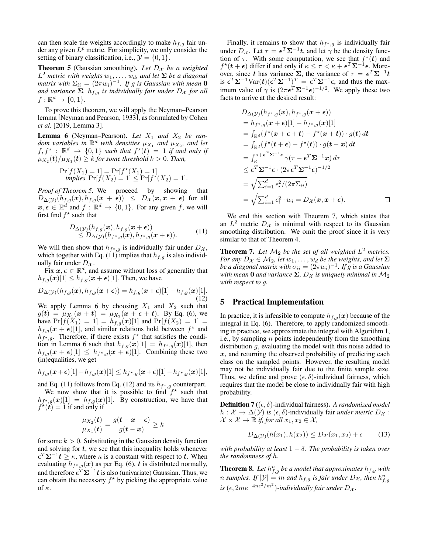can then scale the weights accordingly to make  $h_{f,q}$  fair under any given  $L^p$  metric. For simplicity, we only consider the setting of binary classification, i.e.,  $\mathcal{Y} = \{0, 1\}.$ 

<span id="page-4-1"></span>**Theorem 5** (Gaussian smoothing). Let  $D_x$  be a weighted  $L^2$  metric with weights  $w_1, \ldots, w_d$ , and let  $\Sigma$  be a diagonal  $m$ atrix with  $\Sigma_{ii} = (2\pi w_i)^{-1}$ . If g is Gaussian with mean **0** *and variance*  $\Sigma$ *,*  $h_{f,g}$  *is individually fair under*  $D_X$  *for all*  $f: \mathbb{R}^d \to \{0,1\}.$ 

To prove this theorem, we will apply the Neyman–Pearson lemma [\[Neyman and Pearson, 1933\]](#page-7-14), as formulated by [Cohen](#page-7-1) *[et al.](#page-7-1)* [\[2019,](#page-7-1) Lemma 3].

<span id="page-4-3"></span>**Lemma 6** (Neyman–Pearson). Let  $X_1$  and  $X_2$  be random variables in  $\mathbb{R}^d$  with densities  $\mu_{X_1}$  and  $\mu_{X_2}$ , and let  $f, f^*$  :  $\mathbb{R}^d \to \{0,1\}$  *such that*  $f^*(t) = 1$  *if and only if*  $\mu_{X_2}(\boldsymbol{t})/\mu_{X_1}(\boldsymbol{t}) \geq k$  for some threshold  $k > 0$ . Then,

$$
\Pr[f(X_1) = 1] = \Pr[f^*(X_1) = 1] implies \Pr[f(X_2) = 1] \le \Pr[f^*(X_2) = 1].
$$

*Proof of Theorem [5.](#page-4-1)* We proceed by showing that  $D_{\Delta(\mathcal{Y})}(h_{f,g}(x), h_{f,g}(x + \epsilon)) \leq D_{\mathcal{X}}(x, x + \epsilon)$  for all  $x, \epsilon \in \mathbb{R}^d$  and  $f : \mathbb{R}^d \to \{0, 1\}$ . For any given f, we will first find  $f^*$  such that

<span id="page-4-2"></span>
$$
D_{\Delta(\mathcal{Y})}(h_{f,g}(\boldsymbol{x}), h_{f,g}(\boldsymbol{x}+\boldsymbol{\epsilon})) \n\leq D_{\Delta(\mathcal{Y})}(h_{f^*,g}(\boldsymbol{x}), h_{f^*,g}(\boldsymbol{x}+\boldsymbol{\epsilon})).
$$
\n(11)

We will then show that  $h_{f^{\star},g}$  is individually fair under  $D_{\mathcal{X}},$ which together with Eq. [\(11\)](#page-4-2) implies that  $h_{f,g}$  is also individually fair under  $D_{\mathcal{X}}$ .

Fix  $x, \epsilon \in \mathbb{R}^d$ , and assume without loss of generality that  $h_{f,g}(x)[1] \leq h_{f,g}(x+\epsilon)[1]$ . Then, we have

$$
D_{\Delta(\mathcal{Y})}(h_{f,g}(\boldsymbol{x}), h_{f,g}(\boldsymbol{x}+\boldsymbol{\epsilon})) = h_{f,g}(\boldsymbol{x}+\boldsymbol{\epsilon})[1] - h_{f,g}(\boldsymbol{x})[1].
$$
\n(12)

We apply Lemma [6](#page-4-3) by choosing  $X_1$  and  $X_2$  such that  $g(\bm{t}) \, = \, \mu_{X_1}(\bm{x}+\bm{t}) \, = \, \mu_{X_2}(\bm{x}+\bm{\epsilon}+\bm{t}).\ \,$  By Eq. [\(6\)](#page-2-5), we have  $Pr[f(X_1) = 1] = h_{f,g}(x)[1]$  and  $Pr[f(X_2) = 1] =$  $h_{f,g}(x + \epsilon)$ [1], and similar relations hold between  $f^*$  and  $h_{f^{\star},g}$ . Therefore, if there exists  $f^{\star}$  that satisfies the condi-tion in Lemma [6](#page-4-3) such that  $h_{f,g}(x)[1] = h_{f^{\star},g}(x)[1]$ , then  $h_{f,g}(x+\epsilon)[1] \leq h_{f^{\star},g}(x+\epsilon)[1]$ . Combining these two (in)equalities, we get

$$
h_{f,g}(\boldsymbol{x}+\boldsymbol{\epsilon})[1]-h_{f,g}(\boldsymbol{x})[1]\leq h_{f^\star,g}(\boldsymbol{x}+\boldsymbol{\epsilon})[1]-h_{f^\star,g}(\boldsymbol{x})[1],
$$

and Eq. [\(11\)](#page-4-2) follows from Eq. [\(12\)](#page-4-4) and its  $h_{f^{\star},g}$  counterpart.

We now show that it is possible to find  $f^*$  such that  $h_{f^{\star},g}(x)[1] = h_{f,g}(x)[1]$ . By construction, we have that  $f^{\star}(\tilde{t}) = 1$  if and only if

$$
\frac{\mu_{X_2}(t)}{\mu_{X_1}(t)} = \frac{g(t-x-\epsilon)}{g(t-x)} \ge k
$$

for some  $k > 0$ . Substituting in the Gaussian density function and solving for  $t$ , we see that this inequality holds whenever  $\epsilon^T \Sigma^{-1} t \geq \kappa$ , where  $\kappa$  is a constant with respect to t. When evaluating  $h_{f^{\star},g}(x)$  as per Eq. [\(6\)](#page-2-5),  $t$  is distributed normally, and therefore  $\epsilon^T \Sigma^{-1} t$  is also (univariate) Gaussian. Thus, we can obtain the necessary  $f^*$  by picking the appropriate value of κ.

Finally, it remains to show that  $h_{f^{\star},g}$  is individually fair under  $D_{\mathcal{X}}$ . Let  $\tau = \epsilon^T \Sigma^{-1} t$ , and let  $\gamma$  be the density function of  $\tau$ . With some computation, we see that  $f^*(t)$  and  $f^{\star}(\boldsymbol{t}+\boldsymbol{\epsilon})$  differ if and only if  $\kappa \leq \tau < \kappa + \boldsymbol{\epsilon}^T \boldsymbol{\Sigma}^{-1} \boldsymbol{\epsilon}$ . Moreover, since t has variance  $\Sigma$ , the variance of  $\tau = \epsilon^T \Sigma^{-1} t$ is  $\epsilon^T \Sigma^{-1} \text{Var}(t) (\epsilon^T \Sigma^{-1})^T = \epsilon^T \Sigma^{-1} \epsilon$ , and thus the maximum value of  $\gamma$  is  $(2\pi\epsilon^T\Sigma^{-1}\epsilon)^{-1/2}$ . We apply these two facts to arrive at the desired result:

$$
D_{\Delta(\mathcal{Y})}(h_{f^{\star},g}(\boldsymbol{x}),h_{f^{\star},g}(\boldsymbol{x}+\boldsymbol{\epsilon}))
$$
  
\n
$$
= h_{f^{\star},g}(\boldsymbol{x}+\boldsymbol{\epsilon})[1] - h_{f^{\star},g}(\boldsymbol{x})[1]
$$
  
\n
$$
= \int_{\mathbb{R}^d} (f^{\star}(\boldsymbol{x}+\boldsymbol{\epsilon}+\boldsymbol{t}) - f^{\star}(\boldsymbol{x}+\boldsymbol{t})) \cdot g(\boldsymbol{t}) d\boldsymbol{t}
$$
  
\n
$$
= \int_{\mathbb{R}^d} (f^{\star}(\boldsymbol{t}+\boldsymbol{\epsilon}) - f^{\star}(\boldsymbol{t})) \cdot g(\boldsymbol{t}-\boldsymbol{x}) d\boldsymbol{t}
$$
  
\n
$$
= \int_{\kappa}^{\kappa+\boldsymbol{\epsilon}^T\boldsymbol{\Sigma}^{-1}\boldsymbol{\epsilon}} \gamma(\tau-\boldsymbol{\epsilon}^T\boldsymbol{\Sigma}^{-1}\boldsymbol{x}) d\tau
$$
  
\n
$$
\leq \boldsymbol{\epsilon}^T\boldsymbol{\Sigma}^{-1}\boldsymbol{\epsilon} \cdot (2\pi\boldsymbol{\epsilon}^T\boldsymbol{\Sigma}^{-1}\boldsymbol{\epsilon})^{-1/2}
$$
  
\n
$$
= \sqrt{\sum_{i=1}^d \epsilon_i^2/(2\pi \Sigma_{ii})}
$$
  
\n
$$
= \sqrt{\sum_{i=1}^d \epsilon_i^2 \cdot w_i} = D_{\mathcal{X}}(\boldsymbol{x}, \boldsymbol{x}+\boldsymbol{\epsilon}).
$$

We end this section with Theorem [7,](#page-4-5) which states that an  $L^2$  metric  $D_{\mathcal{X}}$  is minimal with respect to its Gaussian smoothing distribution. We omit the proof since it is very similar to that of Theorem [4.](#page-3-4)

<span id="page-4-5"></span><span id="page-4-4"></span>**Theorem 7.** Let  $M_2$  be the set of all weighted  $L^2$  metrics. *For any*  $D_{\mathcal{X}} \in \mathcal{M}_2$ , *let*  $w_1, \ldots, w_d$  *be the weights, and let*  $\Sigma$ be a diagonal matrix with  $\sigma_{ii} = (2\pi w_i)^{-1}$ . If  $g$  is a Gaussian *with mean* **0** *and variance*  $\Sigma$ ,  $D_X$  *is uniquely minimal in*  $M_2$ *with respect to* g*.*

## <span id="page-4-0"></span>5 Practical Implementation

In practice, it is infeasible to compute  $h_{f,q}(x)$  because of the integral in Eq. [\(6\)](#page-2-5). Therefore, to apply randomized smoothing in practice, we approximate the integral with Algorithm [1,](#page-5-1) i.e., by sampling  $n$  points independently from the smoothing distribution  $q$ , evaluating the model with this noise added to  $x$ , and returning the observed probability of predicting each class on the sampled points. However, the resulting model may not be individually fair due to the finite sample size. Thus, we define and prove  $(\epsilon, \delta)$ -individual fairness, which requires that the model be close to individually fair with high probability.

**Definition 7** ( $(\epsilon, \delta)$ -individual fairness). A randomized model  $h: \mathcal{X} \to \Delta(\mathcal{Y})$  *is*  $(\epsilon, \delta)$ -individually fair *under metric*  $D_{\mathcal{X}}$ :  $\mathcal{X} \times \mathcal{X} \to \mathbb{R}$  *if, for all*  $x_1, x_2 \in \mathcal{X}$ *,* 

$$
D_{\Delta(\mathcal{Y})}(h(x_1), h(x_2)) \le D_{\mathcal{X}}(x_1, x_2) + \epsilon \tag{13}
$$

*with probability at least*  $1 - \delta$ *. The probability is taken over the randomness of* h*.*

<span id="page-4-6"></span>**Theorem 8.** Let  $h_{f,g}^n$  be a model that approximates  $h_{f,g}$  with *n* samples. If  $|\mathcal{Y}| = m$  and  $h_{f,g}$  is fair under  $D_{\mathcal{X}}$ , then  $h_{f,g}^n$  $is$  ( $\epsilon$ ,  $2me^{-4n\epsilon^2/m^2}$ )-individually fair under  $D_{\mathcal{X}}$ .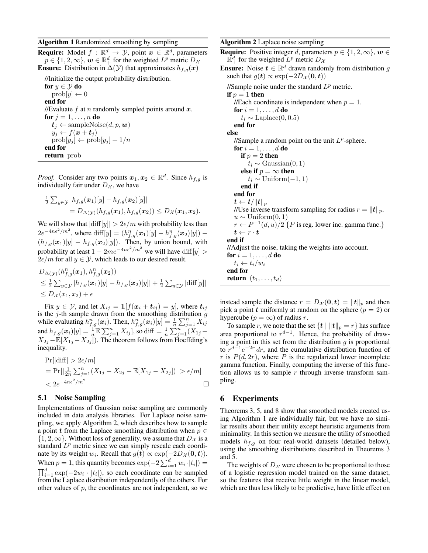<span id="page-5-1"></span>**Require:** Model  $f : \mathbb{R}^d \to \mathcal{Y}$ , point  $x \in \mathbb{R}^d$ , parameters  $p \in \{1, 2, \infty\}, w \in \mathbb{R}^d_+$  for the weighted  $L^p$  metric  $D_{\mathcal{X}}$ **Ensure:** Distribution in  $\Delta(y)$  that approximates  $h_{f,g}(x)$ 

//Initialize the output probability distribution. for  $y \in \mathcal{Y}$  do  $\text{prob}[y] \leftarrow 0$ end for //Evaluate  $f$  at  $n$  randomly sampled points around  $x$ . for  $j = 1, \ldots, n$  do  $t_i \leftarrow$  sampleNoise $(d, p, w)$  $y_j \leftarrow f(\boldsymbol{x} + \boldsymbol{t}_j)$  $\text{prob}[y_j] \leftarrow \text{prob}[y_j] + 1/n$ end for return prob

*Proof.* Consider any two points  $x_1, x_2 \in \mathbb{R}^d$ . Since  $h_{f,g}$  is individually fair under  $D_{\mathcal{X}}$ , we have

$$
\frac{1}{2}\sum_{y\in\mathcal{Y}}|h_{f,g}(\boldsymbol{x}_1)[y]-h_{f,g}(\boldsymbol{x}_2)[y]|
$$
  
=  $D_{\Delta(\mathcal{Y})}(h_{f,g}(\boldsymbol{x}_1),h_{f,g}(\boldsymbol{x}_2)) \leq D_{\mathcal{X}}(\boldsymbol{x}_1,\boldsymbol{x}_2).$ 

We will show that  $|\text{diff}[y]| > 2\epsilon/m$  with probability less than  $2e^{-4n\epsilon^2/m^2}$ , where  $\text{diff}[y] = (h_{f,g}^n(\bm{x}_1)[y] - h_{f,g}^n(\bm{x}_2)[y])$  –  $(h_{f,q}(x_1)[y] - h_{f,q}(x_2)[y])$ . Then, by union bound, with probability at least  $1 - 2me^{-4n\epsilon^2/m^2}$  we will have  $\text{diff}[y] >$  $2\epsilon/m$  for all  $y \in \mathcal{Y}$ , which leads to our desired result.

$$
D_{\Delta(\mathcal{Y})}(h_{f,g}^n(\boldsymbol{x}_1), h_{f,g}^n(\boldsymbol{x}_2))
$$
  
\n
$$
\leq \frac{1}{2} \sum_{y \in \mathcal{Y}} |h_{f,g}(\boldsymbol{x}_1)[y] - h_{f,g}(\boldsymbol{x}_2)[y]| + \frac{1}{2} \sum_{y \in \mathcal{Y}} |\text{diff}[y]|
$$
  
\n
$$
\leq D_{\mathcal{X}}(x_1, x_2) + \epsilon
$$

Fix  $y \in \mathcal{Y}$ , and let  $X_{ij} = \mathbb{1}[f(x_i + t_{ij}) = y]$ , where  $t_{ij}$ is the  $j$ -th sample drawn from the smoothing distribution  $g$ while evaluating  $h_{f,g}^n(\boldsymbol{x}_i)$ . Then,  $h_{f,g}^n(\boldsymbol{x}_i)[y] = \frac{1}{n} \sum_{j=1}^n X_{ij}^j$ and  $h_{f,g}(\bm{x}_i)[y] = \frac{1}{n} \mathbb{E}[\sum_{j=1}^n X_{ij}],$  so diff  $= \frac{1}{n} \sum_{j=1}^n (X_{1j} X_{2j} - \mathbb{E}[X_{1j} - X_{2j}].$  The theorem follows from Hoeffding's inequality.

$$
\Pr[|\text{diff}| > 2\epsilon/m] \n= \Pr[|\frac{1}{2n} \sum_{j=1}^{n} (X_{1j} - X_{2j} - \mathbb{E}[X_{1j} - X_{2j}])| > \epsilon/m] \n< 2e^{-4n\epsilon^2/m^2} \square
$$

#### 5.1 Noise Sampling

Implementations of Gaussian noise sampling are commonly included in data analysis libraries. For Laplace noise sampling, we apply Algorithm [2,](#page-5-2) which describes how to sample a point t from the Laplace smoothing distribution when  $p \in$  $\{1, 2, \infty\}$ . Without loss of generality, we assume that  $D_{\mathcal{X}}$  is a standard  $L^p$  metric since we can simply rescale each coordinate by its weight  $w_i$ . Recall that  $g(t) \propto \exp(-2D_{\mathcal{X}}(0,t))$ . When  $p = 1$ , this quantity becomes  $\exp(-2\sum_{i=1}^{d} w_i \cdot |t_i|) =$  $\prod_{i=1}^{d} \exp(-2w_i \cdot |t_i|)$ , so each coordinate can be sampled from the Laplace distribution independently of the others. For other values of  $p$ , the coordinates are not independent, so we <span id="page-5-2"></span>Algorithm 2 Laplace noise sampling

**Require:** Positive integer d, parameters  $p \in \{1, 2, \infty\}$ ,  $w \in$  $\mathbb{R}^d_+$  for the weighted  $L^p$  metric  $D_\mathcal{X}$ 

**Ensure:** Noise  $t \in \mathbb{R}^d$  drawn randomly from distribution g such that  $g(t) \propto \exp(-2D_{\mathcal{X}}(0, t))$ 

//Sample noise under the standard  $L^p$  metric.

if  $p = 1$  then

//Each coordinate is independent when  $p = 1$ . for  $i = 1, \ldots, d$  do

 $t_i \sim \text{Laplace}(0, 0.5)$ 

end for

else

//Sample a random point on the unit  $L^p$ -sphere. for  $i = 1, \ldots, d$  do if  $p = 2$  then  $t_i \sim$  Gaussian $(0, 1)$ else if  $p = \infty$  then  $t_i \sim$  Uniform $(-1, 1)$ end if end for  $\boldsymbol{t} \leftarrow \boldsymbol{t}/\|\boldsymbol{t}\|_p$ //Use inverse transform sampling for radius  $r = ||t||_p$ .  $u \sim$  Uniform $(0, 1)$  $r \leftarrow P^{-1}(d, u)/2$  { P is reg. lower inc. gamma func.}  $t \leftarrow r \cdot t$ end if //Adjust the noise, taking the weights into account. for  $i = 1, \ldots, d$  do  $t_i \leftarrow t_i/w_i$ end for

return  $(t_1, \ldots, t_d)$ 

instead sample the distance  $r = D_{\mathcal{X}}(\mathbf{0}, t) = ||t||_p$  and then pick a point t uniformly at random on the sphere  $(p = 2)$  or hypercube ( $p = \infty$ ) of radius r.

To sample r, we note that the set  $\{t \mid ||t||_p = r\}$  has surface area proportional to  $r^{d-1}$ . Hence, the probability of drawing a point in this set from the distribution  $g$  is proportional to  $r^{d-1}e^{-2r}$  dr, and the cumulative distribution function of r is  $P(d, 2r)$ , where P is the regularized lower incomplete gamma function. Finally, computing the inverse of this function allows us to sample  $r$  through inverse transform sampling.

## <span id="page-5-0"></span>6 Experiments

Theorems [3,](#page-3-0) [5,](#page-4-1) and [8](#page-4-6) show that smoothed models created using Algorithm [1](#page-5-1) are individually fair, but we have no similar results about their utility except heuristic arguments from minimality. In this section we measure the utility of smoothed models  $h_{f,q}$  on four real-world datasets (detailed below), using the smoothing distributions described in Theorems [3](#page-3-0) and [5.](#page-4-1)

The weights of  $D_{\mathcal{X}}$  were chosen to be proportional to those of a logistic regression model trained on the same dataset, so the features that receive little weight in the linear model, which are thus less likely to be predictive, have little effect on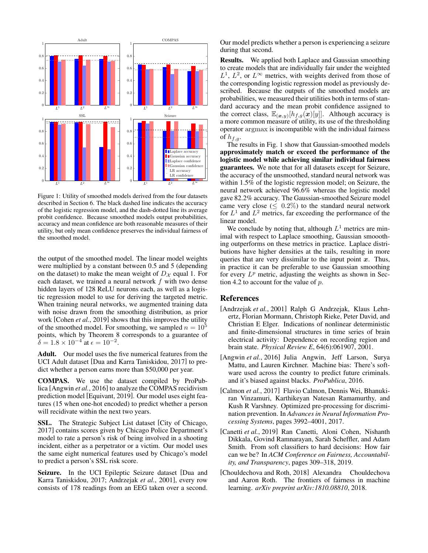<span id="page-6-5"></span>

Figure 1: Utility of smoothed models derived from the four datasets described in Section [6.](#page-5-0) The black dashed line indicates the accuracy of the logistic regression model, and the dash-dotted line its average probit confidence. Because smoothed models output probabilities, accuracy and mean confidence are both reasonable measures of their utility, but only mean confidence preserves the individual fairness of the smoothed model.

the output of the smoothed model. The linear model weights were multiplied by a constant between 0.5 and 5 (depending on the dataset) to make the mean weight of  $D_{\mathcal{X}}$  equal 1. For each dataset, we trained a neural network  $f$  with two dense hidden layers of 128 ReLU neurons each, as well as a logistic regression model to use for deriving the targeted metric. When training neural networks, we augmented training data with noise drawn from the smoothing distribution, as prior work [\[Cohen](#page-7-1) *et al.*, 2019] shows that this improves the utility of the smoothed model. For smoothing, we sampled  $n = 10^5$ points, which by Theorem [8](#page-4-6) corresponds to a guarantee of  $\delta = 1.8 \times 10^{-4}$  at  $\epsilon = 10^{-2}$ .

Adult. Our model uses the five numerical features from the UCI Adult dataset [\[Dua and Karra Taniskidou, 2017\]](#page-7-15) to predict whether a person earns more than \$50,000 per year.

COMPAS. We use the dataset compiled by ProPublica [\[Angwin](#page-6-3) *et al.*, 2016] to analyze the COMPAS recidivism prediction model [\[Equivant, 2019\]](#page-7-16). Our model uses eight features (15 when one-hot encoded) to predict whether a person will recidivate within the next two years.

SSL. The Strategic Subject List dataset [\[City of Chicago,](#page-7-17) [2017\]](#page-7-17) contains scores given by Chicago Police Department's model to rate a person's risk of being involved in a shooting incident, either as a perpetrator or a victim. Our model uses the same eight numerical features used by Chicago's model to predict a person's SSL risk score.

Seizure. In the UCI Epileptic Seizure dataset [\[Dua and](#page-7-15) [Karra Taniskidou, 2017;](#page-7-15) [Andrzejak](#page-6-4) *et al.*, 2001], every row consists of 178 readings from an EEG taken over a second. Our model predicts whether a person is experiencing a seizure during that second.

Results. We applied both Laplace and Gaussian smoothing to create models that are individually fair under the weighted  $L^1$ ,  $L^2$ , or  $L^{\infty}$  metrics, with weights derived from those of the corresponding logistic regression model as previously described. Because the outputs of the smoothed models are probabilities, we measured their utilities both in terms of standard accuracy and the mean probit confidence assigned to the correct class,  $\mathbb{E}_{(\bm{x},y)}[h_{f,g}(\bm{x})[y]]$ . Although accuracy is a more common measure of utility, its use of the thresholding operator argmax is incompatible with the individual fairness of  $h_{f,g}$ .

The results in Fig. [1](#page-6-5) show that Gaussian-smoothed models approximately match or exceed the performance of the logistic model while achieving similar individual fairness guarantees. We note that for all datasets except for Seizure, the accuracy of the unsmoothed, standard neural network was within 1.5% of the logistic regression model; on Seizure, the neural network achieved 96.6% whereas the logistic model gave 82.2% accuracy. The Gaussian-smoothed Seizure model came very close ( $\leq 0.2\%$ ) to the standard neural network for  $L^1$  and  $L^2$  metrics, far exceeding the performance of the linear model.

We conclude by noting that, although  $L<sup>1</sup>$  metrics are minimal with respect to Laplace smoothing, Gaussian smooothing outperforms on these metrics in practice. Laplace distributions have higher densities at the tails, resulting in more queries that are very dissimilar to the input point  $x$ . Thus, in practice it can be preferable to use Gaussian smoothing for every  $L^p$  metric, adjusting the weights as shown in Sec-tion [4.2](#page-3-5) to account for the value of  $p$ .

## References

- <span id="page-6-4"></span>[Andrzejak *et al.*, 2001] Ralph G Andrzejak, Klaus Lehnertz, Florian Mormann, Christoph Rieke, Peter David, and Christian E Elger. Indications of nonlinear deterministic and finite-dimensional structures in time series of brain electrical activity: Dependence on recording region and brain state. *Physical Review E*, 64(6):061907, 2001.
- <span id="page-6-3"></span>[Angwin *et al.*, 2016] Julia Angwin, Jeff Larson, Surya Mattu, and Lauren Kirchner. Machine bias: There's software used across the country to predict future criminals. and it's biased against blacks. *ProPublica*, 2016.
- <span id="page-6-0"></span>[Calmon *et al.*, 2017] Flavio Calmon, Dennis Wei, Bhanukiran Vinzamuri, Karthikeyan Natesan Ramamurthy, and Kush R Varshney. Optimized pre-processing for discrimination prevention. In *Advances in Neural Information Processing Systems*, pages 3992–4001, 2017.
- <span id="page-6-1"></span>[Canetti *et al.*, 2019] Ran Canetti, Aloni Cohen, Nishanth Dikkala, Govind Ramnarayan, Sarah Scheffler, and Adam Smith. From soft classifiers to hard decisions: How fair can we be? In *ACM Conference on Fairness, Accountability, and Transparency*, pages 309–318, 2019.
- <span id="page-6-2"></span>[Chouldechova and Roth, 2018] Alexandra Chouldechova and Aaron Roth. The frontiers of fairness in machine learning. *arXiv preprint arXiv:1810.08810*, 2018.